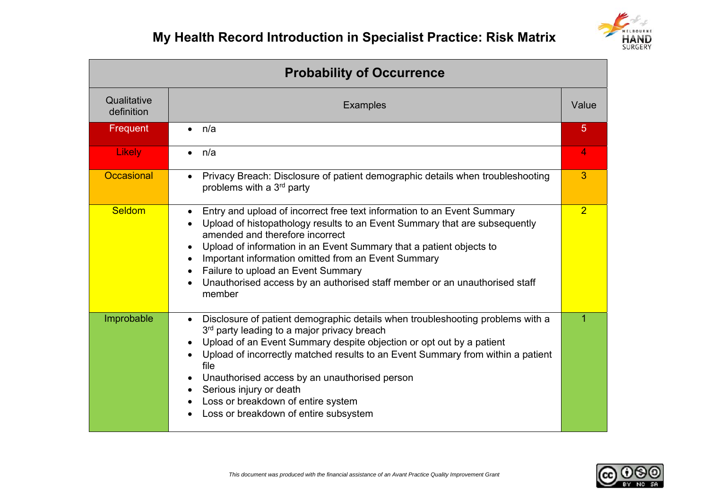

| <b>Probability of Occurrence</b> |                                                                                                                                                                                                                                                                                                                                                                                                                                                                                                                |                |  |  |  |  |
|----------------------------------|----------------------------------------------------------------------------------------------------------------------------------------------------------------------------------------------------------------------------------------------------------------------------------------------------------------------------------------------------------------------------------------------------------------------------------------------------------------------------------------------------------------|----------------|--|--|--|--|
| Qualitative<br>definition        | <b>Examples</b>                                                                                                                                                                                                                                                                                                                                                                                                                                                                                                | Value          |  |  |  |  |
| Frequent                         | n/a<br>$\bullet$                                                                                                                                                                                                                                                                                                                                                                                                                                                                                               | 5              |  |  |  |  |
| <b>Likely</b>                    | n/a<br>$\bullet$                                                                                                                                                                                                                                                                                                                                                                                                                                                                                               | 4              |  |  |  |  |
| Occasional                       | Privacy Breach: Disclosure of patient demographic details when troubleshooting<br>$\bullet$<br>problems with a 3 <sup>rd</sup> party                                                                                                                                                                                                                                                                                                                                                                           | 3              |  |  |  |  |
| <b>Seldom</b>                    | Entry and upload of incorrect free text information to an Event Summary<br>$\bullet$<br>Upload of histopathology results to an Event Summary that are subsequently<br>amended and therefore incorrect<br>Upload of information in an Event Summary that a patient objects to<br>٠<br>Important information omitted from an Event Summary<br>Failure to upload an Event Summary<br>$\bullet$<br>Unauthorised access by an authorised staff member or an unauthorised staff<br>member                            | $\overline{2}$ |  |  |  |  |
| Improbable                       | Disclosure of patient demographic details when troubleshooting problems with a<br>$\bullet$<br>3 <sup>rd</sup> party leading to a major privacy breach<br>Upload of an Event Summary despite objection or opt out by a patient<br>$\bullet$<br>Upload of incorrectly matched results to an Event Summary from within a patient<br>file<br>Unauthorised access by an unauthorised person<br>Serious injury or death<br>$\bullet$<br>Loss or breakdown of entire system<br>Loss or breakdown of entire subsystem | 1              |  |  |  |  |

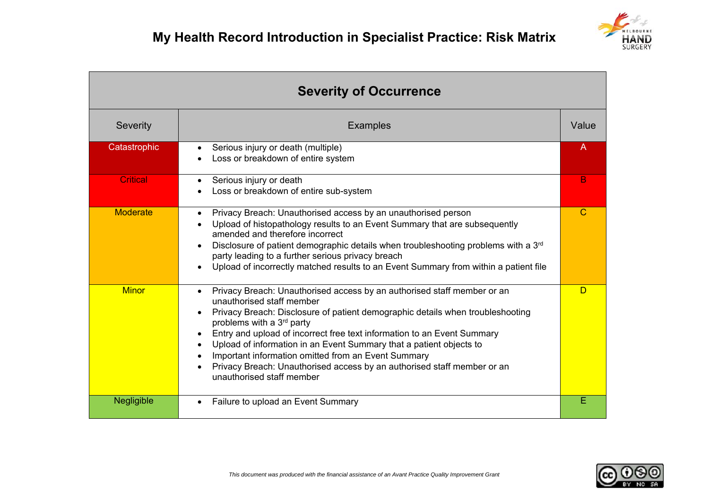

| <b>Severity of Occurrence</b> |                                                                                                                                                                                                                                                                                                                                                                                                                                                                                                                                                                                                      |       |  |  |  |  |
|-------------------------------|------------------------------------------------------------------------------------------------------------------------------------------------------------------------------------------------------------------------------------------------------------------------------------------------------------------------------------------------------------------------------------------------------------------------------------------------------------------------------------------------------------------------------------------------------------------------------------------------------|-------|--|--|--|--|
| Severity                      | <b>Examples</b>                                                                                                                                                                                                                                                                                                                                                                                                                                                                                                                                                                                      | Value |  |  |  |  |
| Catastrophic                  | Serious injury or death (multiple)<br>Loss or breakdown of entire system                                                                                                                                                                                                                                                                                                                                                                                                                                                                                                                             | A     |  |  |  |  |
| <b>Critical</b>               | Serious injury or death<br>Loss or breakdown of entire sub-system                                                                                                                                                                                                                                                                                                                                                                                                                                                                                                                                    | B     |  |  |  |  |
| <b>Moderate</b>               | Privacy Breach: Unauthorised access by an unauthorised person<br>$\bullet$<br>Upload of histopathology results to an Event Summary that are subsequently<br>amended and therefore incorrect<br>Disclosure of patient demographic details when troubleshooting problems with a 3 <sup>rd</sup><br>party leading to a further serious privacy breach<br>Upload of incorrectly matched results to an Event Summary from within a patient file                                                                                                                                                           | C     |  |  |  |  |
| <b>Minor</b>                  | Privacy Breach: Unauthorised access by an authorised staff member or an<br>unauthorised staff member<br>Privacy Breach: Disclosure of patient demographic details when troubleshooting<br>$\bullet$<br>problems with a 3 <sup>rd</sup> party<br>Entry and upload of incorrect free text information to an Event Summary<br>$\bullet$<br>Upload of information in an Event Summary that a patient objects to<br>$\bullet$<br>Important information omitted from an Event Summary<br>Privacy Breach: Unauthorised access by an authorised staff member or an<br>$\bullet$<br>unauthorised staff member | D     |  |  |  |  |
| Negligible                    | Failure to upload an Event Summary                                                                                                                                                                                                                                                                                                                                                                                                                                                                                                                                                                   | F     |  |  |  |  |